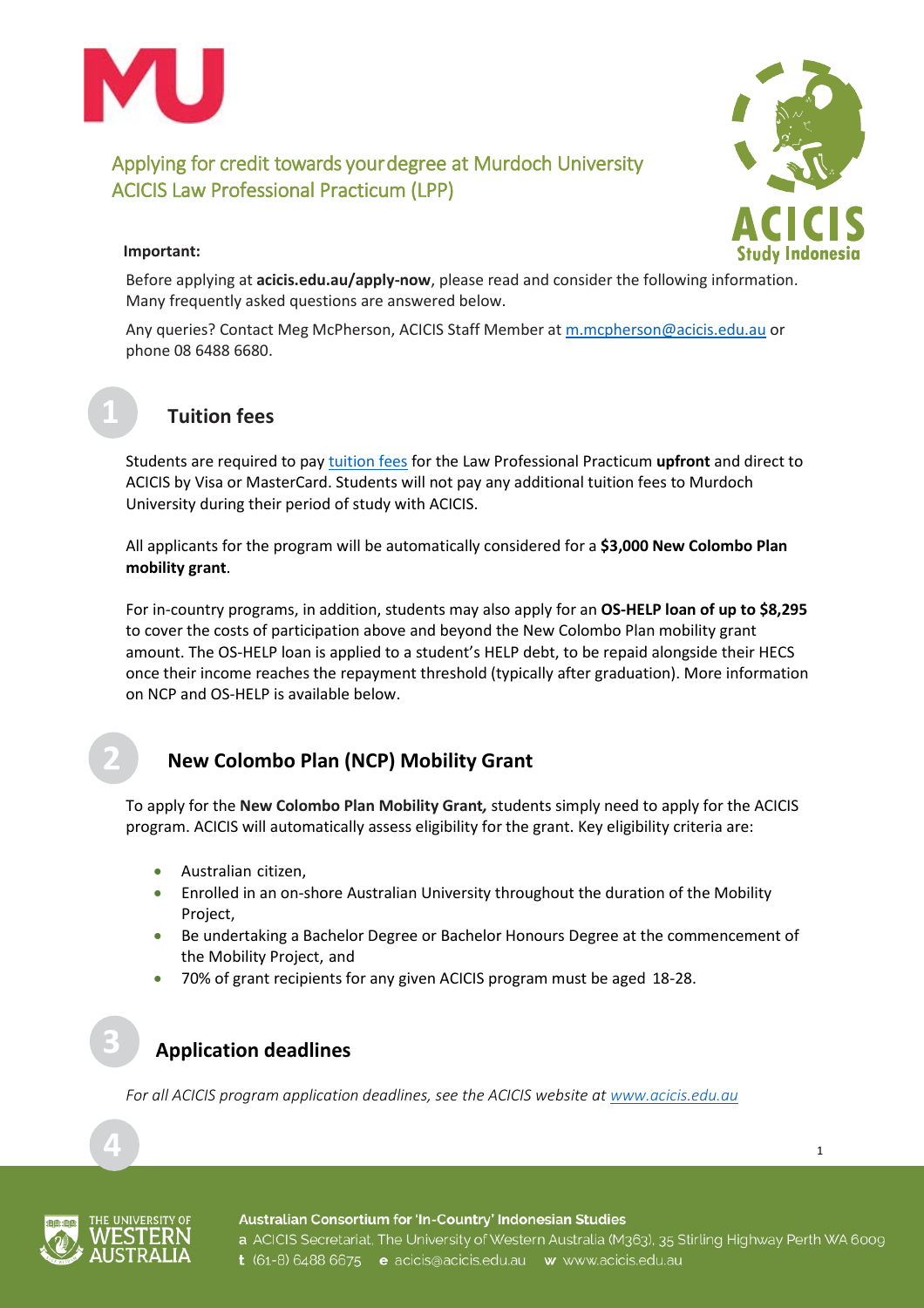



1

### **Important:**

Before applying at **[acicis.edu.au/apply-now](http://acicis.edu.au/apply-now)**, please read and consider the following information. Many frequently asked questions are answered below.

Any queries? Contact Meg McPherson, ACICIS Staff Member at [m.mcpherson@acicis.edu.au](mailto:m.mcpherson@acicis.edu.au) or phone 08 6488 6680.

## **Tuition fees**

Students are required to pa[y tuition fees](http://www.acicis.edu.au/programs/practicum/costs/) for the Law Professional Practicum **upfront** and direct to ACICIS by Visa or MasterCard. Students will not pay any additional tuition fees to Murdoch University during their period of study with ACICIS.

All applicants for the program will be automatically considered for a **\$3,000 New Colombo Plan mobility grant**.

For in-country programs, in addition, students may also apply for an **OS-HELP loan of up to \$8,295** to cover the costs of participation above and beyond the New Colombo Plan mobility grant amount. The OS-HELP loan is applied to a student's HELP debt, to be repaid alongside their HECS once their income reaches the repayment threshold (typically after graduation). More information on NCP and OS-HELP is available below.

# **New Colombo Plan (NCP) Mobility Grant**

To apply for the **New Colombo Plan Mobility Grant***,* students simply need to apply for the ACICIS program. ACICIS will automatically assess eligibility for the grant. Key eligibility criteria are:

- Australian citizen,
- Enrolled in an on-shore Australian University throughout the duration of the Mobility Project,
- Be undertaking a Bachelor Degree or Bachelor Honours Degree at the commencement of the Mobility Project, and
- 70% of grant recipients for any given ACICIS program must be aged 18-28.

# **Application deadlines**

*For all ACICIS program application deadlines, see the ACICIS website at [www.acicis.edu.au](http://www.acicis.edu.au/)*



#### Australian Consortium for 'In-Country' Indonesian Studies

a ACICIS Secretariat, The University of Western Australia (M363), 35 Stirling Highway Perth WA 6009 t (61-8) 6488 6675 e acicis@acicis.edu.au w www.acicis.edu.au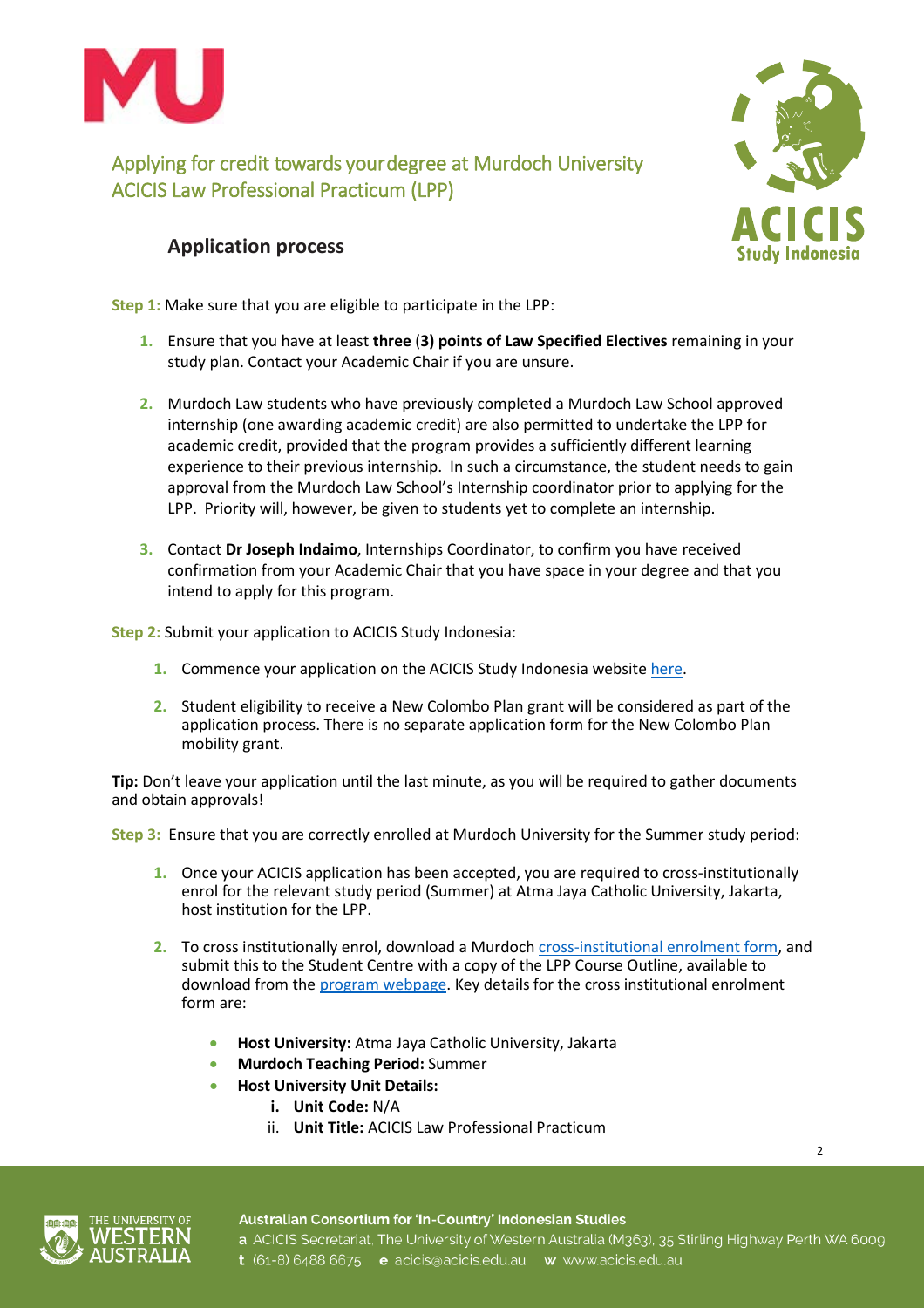



 $\overline{2}$ 

### **Application process**

**Step 1:** Make sure that you are eligible to participate in the LPP:

- **1.** Ensure that you have at least **three** (**3) points of Law Specified Electives** remaining in your study plan. Contact your Academic Chair if you are unsure.
- **2.** Murdoch Law students who have previously completed a Murdoch Law School approved internship (one awarding academic credit) are also permitted to undertake the LPP for academic credit, provided that the program provides a sufficiently different learning experience to their previous internship. In such a circumstance, the student needs to gain approval from the Murdoch Law School's Internship coordinator prior to applying for the LPP. Priority will, however, be given to students yet to complete an internship.
- **3.** Contact **Dr Joseph Indaimo**, Internships Coordinator, to confirm you have received confirmation from your Academic Chair that you have space in your degree and that you intend to apply for this program.

**Step 2:** Submit your application to ACICIS Study Indonesia:

- **1.** Commence your application on the ACICIS Study Indonesia website [here.](http://www.acicis.edu.au/apply-now/)
- **2.** Student eligibility to receive a New Colombo Plan grant will be considered as part of the application process. There is no separate application form for the New Colombo Plan mobility grant.

**Tip:** Don't leave your application until the last minute, as you will be required to gather documents and obtain approvals!

**Step 3:** Ensure that you are correctly enrolled at Murdoch University for the Summer study period:

- **1.** Once your ACICIS application has been accepted, you are required to cross-institutionally enrol for the relevant study period (Summer) at Atma Jaya Catholic University, Jakarta, host institution for the LPP.
- **2.** To cross institutionally enrol, download a Murdoch [cross-institutional](http://our.murdoch.edu.au/Student-life/_document/Enrolments-and-fees/ENF008_Cross_Institutional_Enrolment_Request.pdf) enrolment form, and submit this to the Student Centre with a copy of the LPP Course Outline, available to download from the [program webpage.](http://www.acicis.edu.au/programs/practicum/law-professional-practicum-lpp/) Key details for the cross institutional enrolment form are:
	- **Host University:** Atma Jaya Catholic University, Jakarta
	- **Murdoch Teaching Period:** Summer
		- **Host University Unit Details:**
			- **i. Unit Code:** N/A
				- ii. **Unit Title:** ACICIS Law Professional Practicum

Australian Consortium for 'In-Country' Indonesian Studies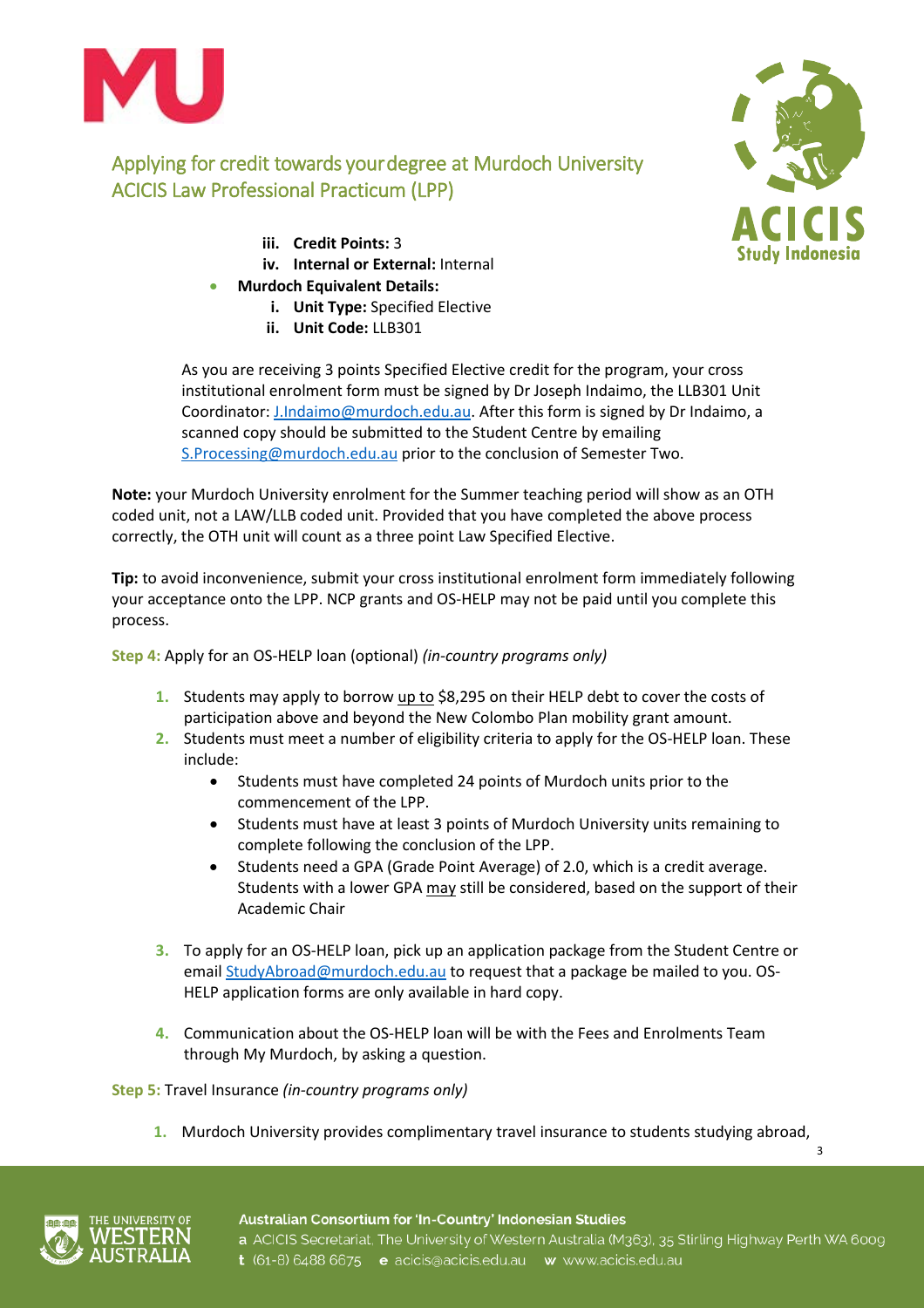

- **iii. Credit Points:** 3
- **iv. Internal or External:** Internal
- **Murdoch Equivalent Details:**
	- **i. Unit Type:** Specified Elective
	- **ii. Unit Code:** LLB301



3

As you are receiving 3 points Specified Elective credit for the program, your cross institutional enrolment form must be signed by Dr Joseph Indaimo, the LLB301 Unit Coordinator: [J.Indaimo@murdoch.edu.au.](mailto:J.Indaimo@murdoch.edu.au) After this form is signed by Dr Indaimo, a scanned copy should be submitted to the Student Centre by emailing [S.Processing@murdoch.edu.au](mailto:S.Processing@murdoch.edu.au) prior to the conclusion of Semester Two.

**Note:** your Murdoch University enrolment for the Summer teaching period will show as an OTH coded unit, not a LAW/LLB coded unit. Provided that you have completed the above process correctly, the OTH unit will count as a three point Law Specified Elective.

**Tip:** to avoid inconvenience, submit your cross institutional enrolment form immediately following your acceptance onto the LPP. NCP grants and OS-HELP may not be paid until you complete this process.

**Step 4:** Apply for an OS-HELP loan (optional) *(in-country programs only)*

- **1.** Students may apply to borrow up to \$8,295 on their HELP debt to cover the costs of participation above and beyond the New Colombo Plan mobility grant amount.
- **2.** Students must meet a number of eligibility criteria to apply for the OS-HELP loan. These include:
	- Students must have completed 24 points of Murdoch units prior to the commencement of the LPP.
	- Students must have at least 3 points of Murdoch University units remaining to complete following the conclusion of the LPP.
	- Students need a GPA (Grade Point Average) of 2.0, which is a credit average. Students with a lower GPA may still be considered, based on the support of their Academic Chair
- **3.** To apply for an OS-HELP loan, pick up an application package from the Student Centre or email **StudyAbroad@murdoch.edu.au** to request that a package be mailed to you. OS-HELP application forms are only available in hard copy.
- **4.** Communication about the OS-HELP loan will be with the Fees and Enrolments Team through My Murdoch, by asking a question.

**Step 5:** Travel Insurance *(in-country programs only)*

**1.** Murdoch University provides complimentary travel insurance to students studying abroad,